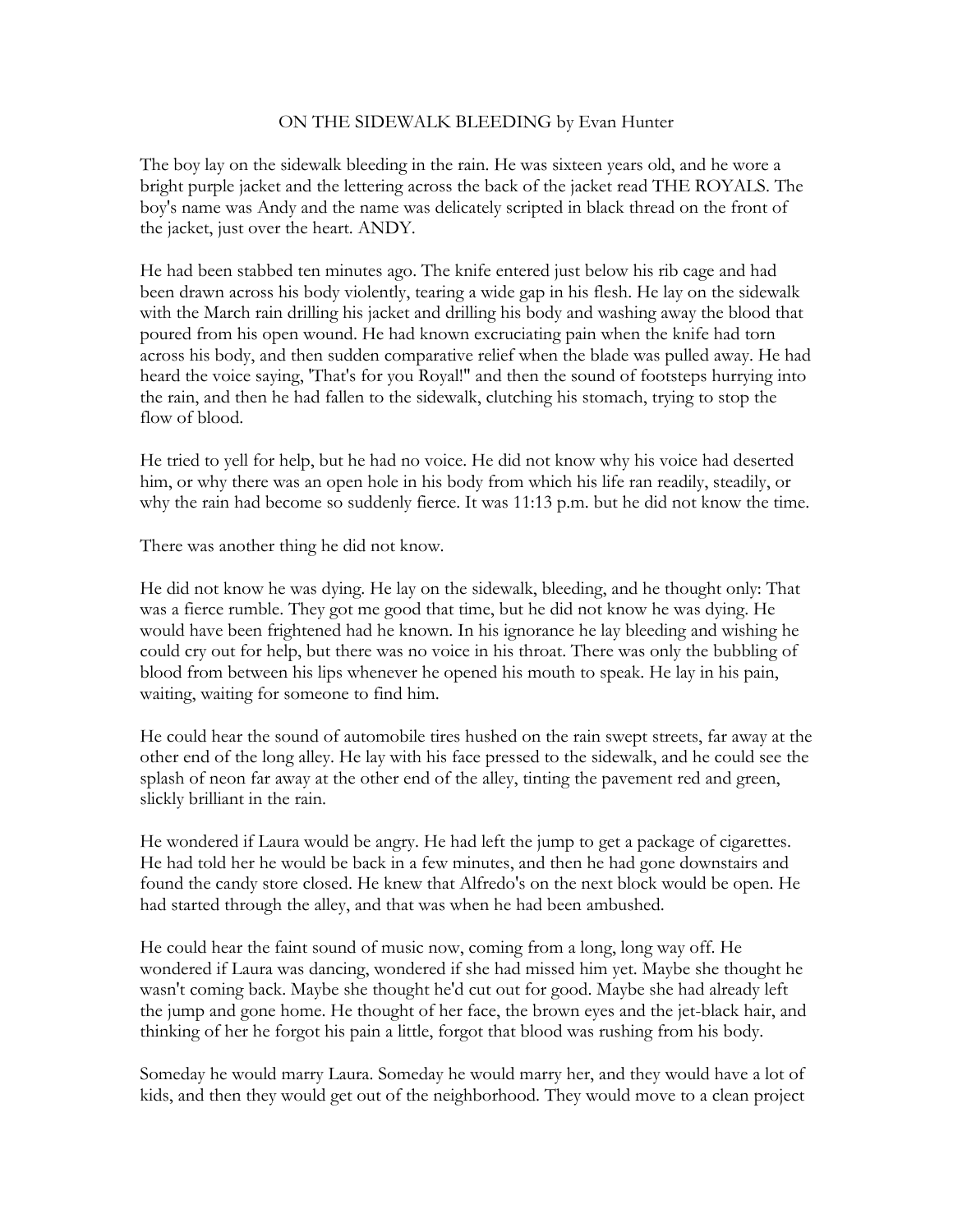## ON THE SIDEWALK BLEEDING by Evan Hunter

The boy lay on the sidewalk bleeding in the rain. He was sixteen years old, and he wore a bright purple jacket and the lettering across the back of the jacket read THE ROYALS. The boy's name was Andy and the name was delicately scripted in black thread on the front of the jacket, just over the heart. ANDY.

He had been stabbed ten minutes ago. The knife entered just below his rib cage and had been drawn across his body violently, tearing a wide gap in his flesh. He lay on the sidewalk with the March rain drilling his jacket and drilling his body and washing away the blood that poured from his open wound. He had known excruciating pain when the knife had torn across his body, and then sudden comparative relief when the blade was pulled away. He had heard the voice saying, 'That's for you Royal!" and then the sound of footsteps hurrying into the rain, and then he had fallen to the sidewalk, clutching his stomach, trying to stop the flow of blood.

He tried to yell for help, but he had no voice. He did not know why his voice had deserted him, or why there was an open hole in his body from which his life ran readily, steadily, or why the rain had become so suddenly fierce. It was 11:13 p.m. but he did not know the time.

There was another thing he did not know.

He did not know he was dying. He lay on the sidewalk, bleeding, and he thought only: That was a fierce rumble. They got me good that time, but he did not know he was dying. He would have been frightened had he known. In his ignorance he lay bleeding and wishing he could cry out for help, but there was no voice in his throat. There was only the bubbling of blood from between his lips whenever he opened his mouth to speak. He lay in his pain, waiting, waiting for someone to find him.

He could hear the sound of automobile tires hushed on the rain swept streets, far away at the other end of the long alley. He lay with his face pressed to the sidewalk, and he could see the splash of neon far away at the other end of the alley, tinting the pavement red and green, slickly brilliant in the rain.

He wondered if Laura would be angry. He had left the jump to get a package of cigarettes. He had told her he would be back in a few minutes, and then he had gone downstairs and found the candy store closed. He knew that Alfredo's on the next block would be open. He had started through the alley, and that was when he had been ambushed.

He could hear the faint sound of music now, coming from a long, long way off. He wondered if Laura was dancing, wondered if she had missed him yet. Maybe she thought he wasn't coming back. Maybe she thought he'd cut out for good. Maybe she had already left the jump and gone home. He thought of her face, the brown eyes and the jet-black hair, and thinking of her he forgot his pain a little, forgot that blood was rushing from his body.

Someday he would marry Laura. Someday he would marry her, and they would have a lot of kids, and then they would get out of the neighborhood. They would move to a clean project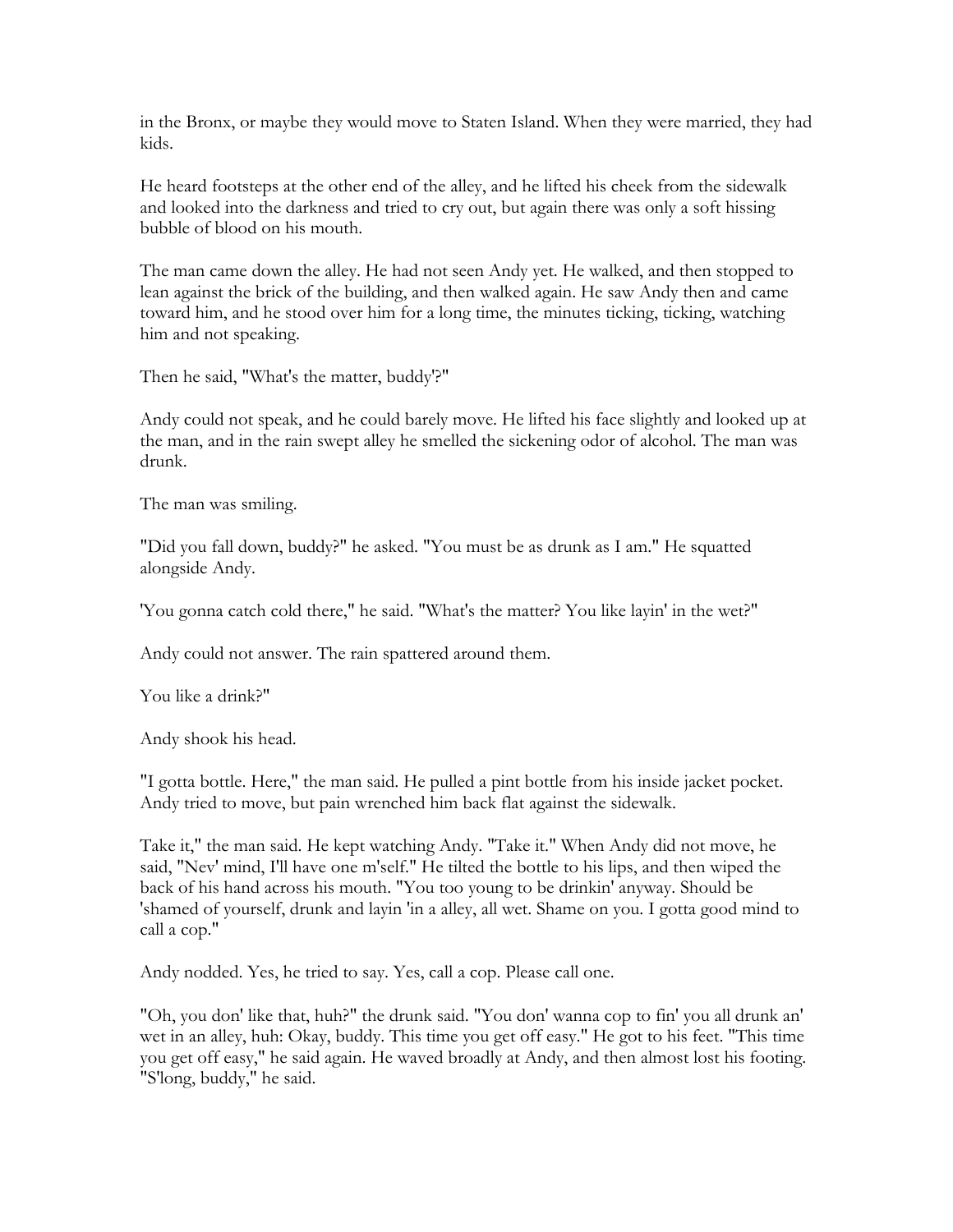in the Bronx, or maybe they would move to Staten Island. When they were married, they had kids.

He heard footsteps at the other end of the alley, and he lifted his cheek from the sidewalk and looked into the darkness and tried to cry out, but again there was only a soft hissing bubble of blood on his mouth.

The man came down the alley. He had not seen Andy yet. He walked, and then stopped to lean against the brick of the building, and then walked again. He saw Andy then and came toward him, and he stood over him for a long time, the minutes ticking, ticking, watching him and not speaking.

Then he said, "What's the matter, buddy'?"

Andy could not speak, and he could barely move. He lifted his face slightly and looked up at the man, and in the rain swept alley he smelled the sickening odor of alcohol. The man was drunk.

The man was smiling.

"Did you fall down, buddy?" he asked. "You must be as drunk as I am." He squatted alongside Andy.

'You gonna catch cold there," he said. "What's the matter? You like layin' in the wet?"

Andy could not answer. The rain spattered around them.

You like a drink?"

Andy shook his head.

"I gotta bottle. Here," the man said. He pulled a pint bottle from his inside jacket pocket. Andy tried to move, but pain wrenched him back flat against the sidewalk.

Take it," the man said. He kept watching Andy. "Take it." When Andy did not move, he said, "Nev' mind, I'll have one m'self." He tilted the bottle to his lips, and then wiped the back of his hand across his mouth. "You too young to be drinkin' anyway. Should be 'shamed of yourself, drunk and layin 'in a alley, all wet. Shame on you. I gotta good mind to call a cop."

Andy nodded. Yes, he tried to say. Yes, call a cop. Please call one.

"Oh, you don' like that, huh?" the drunk said. "You don' wanna cop to fin' you all drunk an' wet in an alley, huh: Okay, buddy. This time you get off easy." He got to his feet. "This time you get off easy," he said again. He waved broadly at Andy, and then almost lost his footing. "S'long, buddy," he said.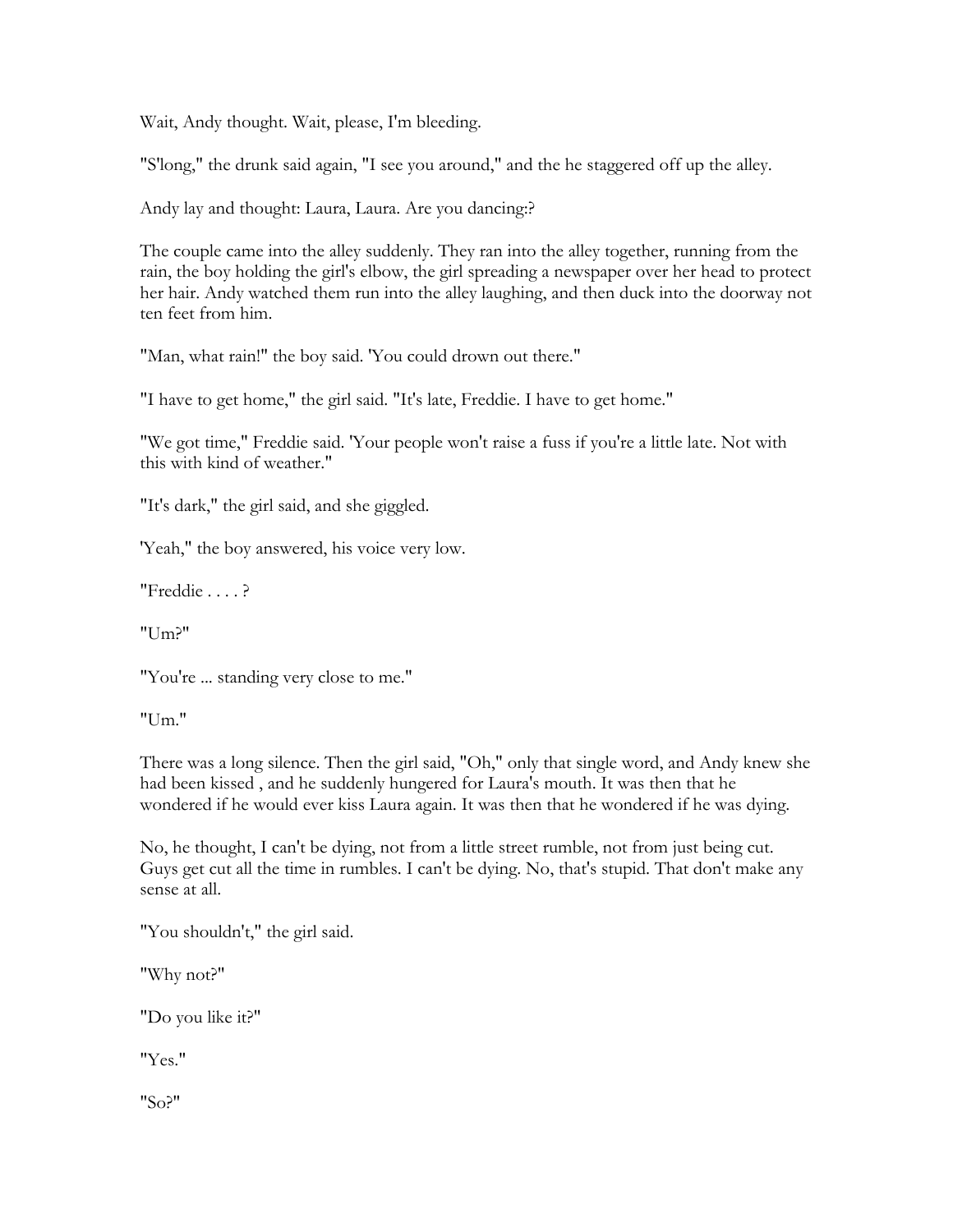Wait, Andy thought. Wait, please, I'm bleeding.

"S'long," the drunk said again, "I see you around," and the he staggered off up the alley.

Andy lay and thought: Laura, Laura. Are you dancing:?

The couple came into the alley suddenly. They ran into the alley together, running from the rain, the boy holding the girl's elbow, the girl spreading a newspaper over her head to protect her hair. Andy watched them run into the alley laughing, and then duck into the doorway not ten feet from him.

"Man, what rain!" the boy said. 'You could drown out there."

"I have to get home," the girl said. "It's late, Freddie. I have to get home."

"We got time," Freddie said. 'Your people won't raise a fuss if you're a little late. Not with this with kind of weather."

"It's dark," the girl said, and she giggled.

'Yeah," the boy answered, his voice very low.

"Freddie . . . . ?

"Um?"

"You're ... standing very close to me."

"Um."

There was a long silence. Then the girl said, "Oh," only that single word, and Andy knew she had been kissed , and he suddenly hungered for Laura's mouth. It was then that he wondered if he would ever kiss Laura again. It was then that he wondered if he was dying.

No, he thought, I can't be dying, not from a little street rumble, not from just being cut. Guys get cut all the time in rumbles. I can't be dying. No, that's stupid. That don't make any sense at all.

"You shouldn't," the girl said.

"Why not?"

"Do you like it?"

"Yes."

"So?"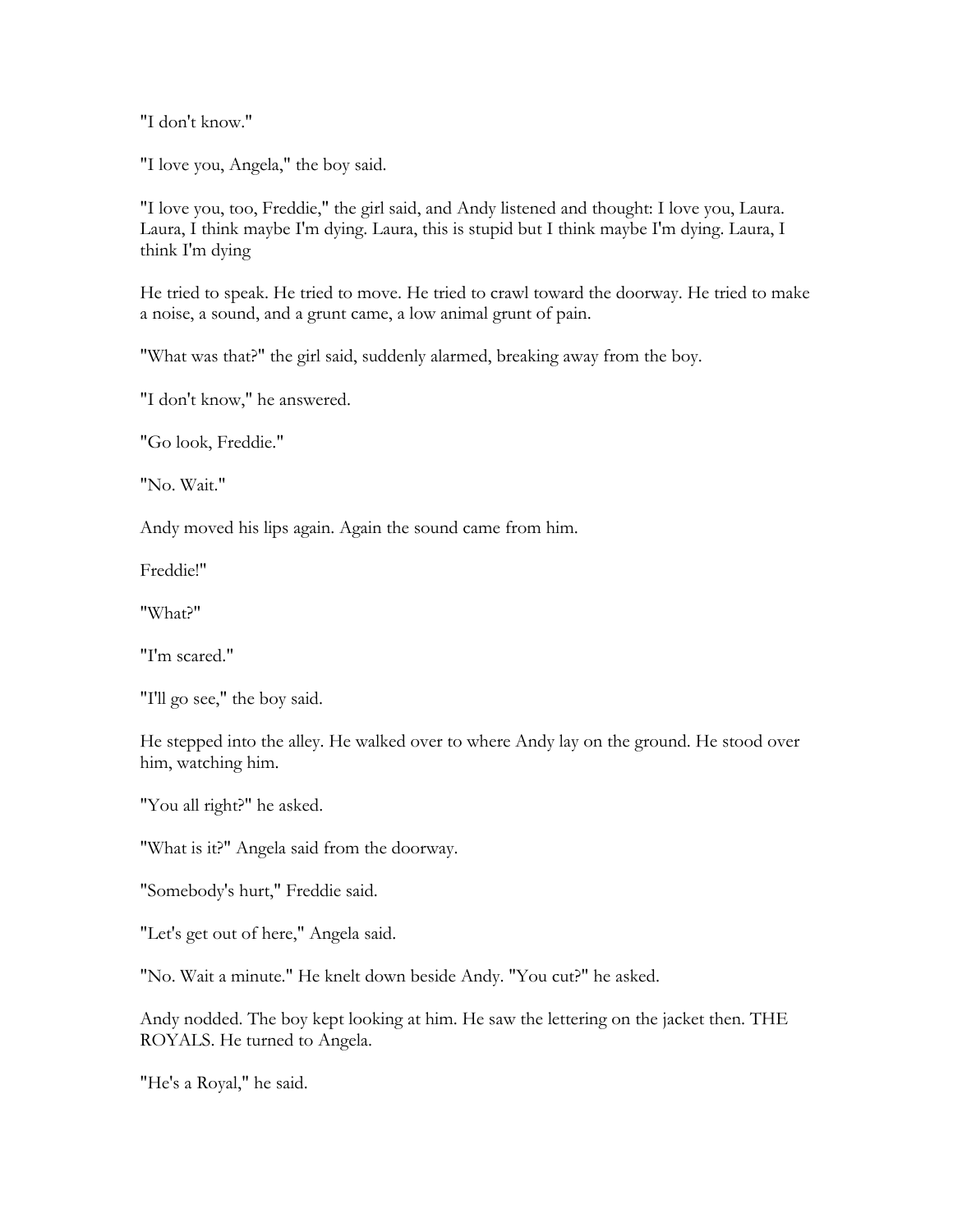"I don't know."

"I love you, Angela," the boy said.

"I love you, too, Freddie," the girl said, and Andy listened and thought: I love you, Laura. Laura, I think maybe I'm dying. Laura, this is stupid but I think maybe I'm dying. Laura, I think I'm dying

He tried to speak. He tried to move. He tried to crawl toward the doorway. He tried to make a noise, a sound, and a grunt came, a low animal grunt of pain.

"What was that?" the girl said, suddenly alarmed, breaking away from the boy.

"I don't know," he answered.

"Go look, Freddie."

"No. Wait."

Andy moved his lips again. Again the sound came from him.

Freddie!"

"What?"

"I'm scared."

"I'll go see," the boy said.

He stepped into the alley. He walked over to where Andy lay on the ground. He stood over him, watching him.

"You all right?" he asked.

"What is it?" Angela said from the doorway.

"Somebody's hurt," Freddie said.

"Let's get out of here," Angela said.

"No. Wait a minute." He knelt down beside Andy. "You cut?" he asked.

Andy nodded. The boy kept looking at him. He saw the lettering on the jacket then. THE ROYALS. He turned to Angela.

"He's a Royal," he said.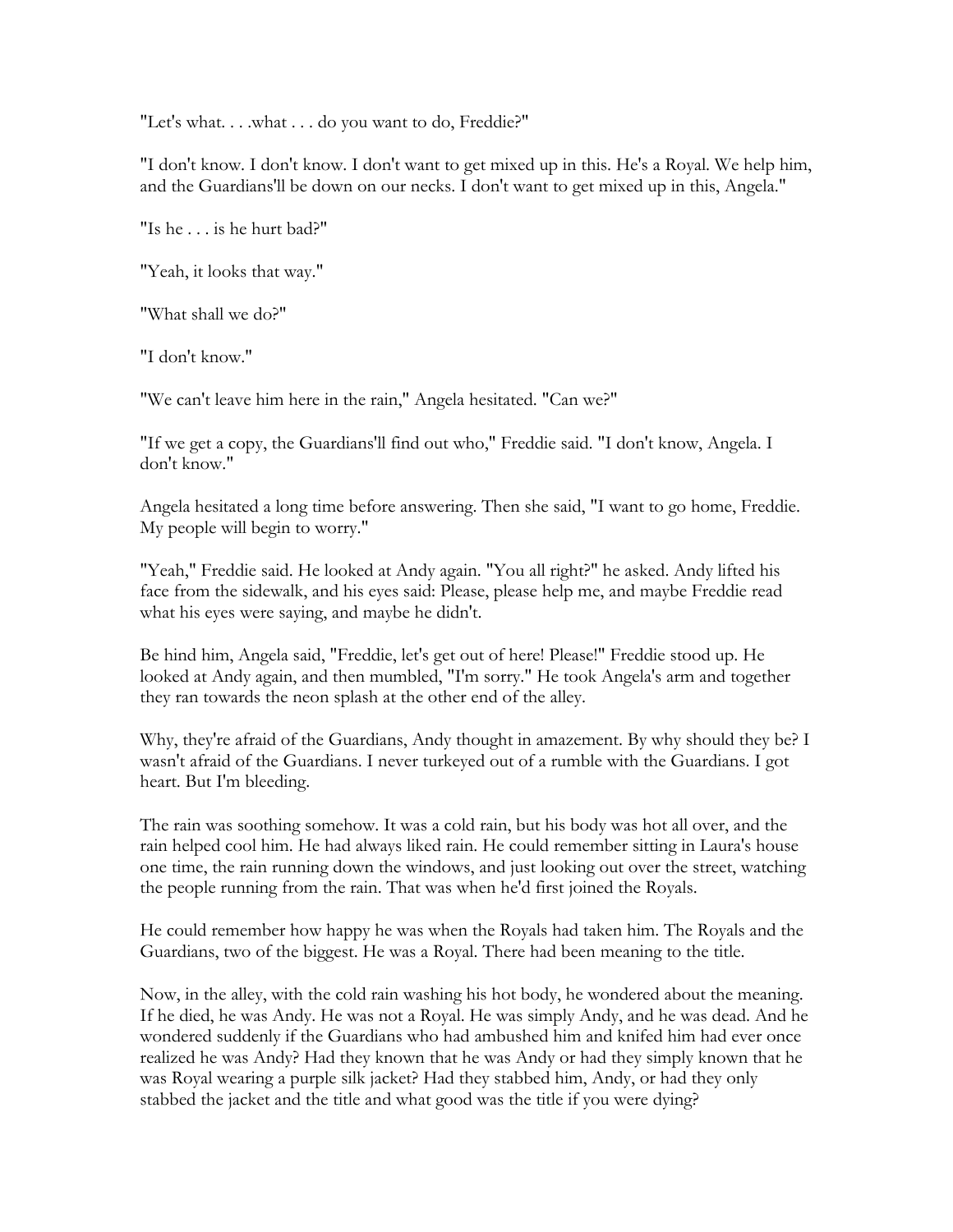"Let's what. . . .what . . . do you want to do, Freddie?"

"I don't know. I don't know. I don't want to get mixed up in this. He's a Royal. We help him, and the Guardians'll be down on our necks. I don't want to get mixed up in this, Angela."

"Is he . . . is he hurt bad?"

"Yeah, it looks that way."

"What shall we do?"

"I don't know."

"We can't leave him here in the rain," Angela hesitated. "Can we?"

"If we get a copy, the Guardians'll find out who," Freddie said. "I don't know, Angela. I don't know."

Angela hesitated a long time before answering. Then she said, "I want to go home, Freddie. My people will begin to worry."

"Yeah," Freddie said. He looked at Andy again. "You all right?" he asked. Andy lifted his face from the sidewalk, and his eyes said: Please, please help me, and maybe Freddie read what his eyes were saying, and maybe he didn't.

Be hind him, Angela said, "Freddie, let's get out of here! Please!" Freddie stood up. He looked at Andy again, and then mumbled, "I'm sorry." He took Angela's arm and together they ran towards the neon splash at the other end of the alley.

Why, they're afraid of the Guardians, Andy thought in amazement. By why should they be? I wasn't afraid of the Guardians. I never turkeyed out of a rumble with the Guardians. I got heart. But I'm bleeding.

The rain was soothing somehow. It was a cold rain, but his body was hot all over, and the rain helped cool him. He had always liked rain. He could remember sitting in Laura's house one time, the rain running down the windows, and just looking out over the street, watching the people running from the rain. That was when he'd first joined the Royals.

He could remember how happy he was when the Royals had taken him. The Royals and the Guardians, two of the biggest. He was a Royal. There had been meaning to the title.

Now, in the alley, with the cold rain washing his hot body, he wondered about the meaning. If he died, he was Andy. He was not a Royal. He was simply Andy, and he was dead. And he wondered suddenly if the Guardians who had ambushed him and knifed him had ever once realized he was Andy? Had they known that he was Andy or had they simply known that he was Royal wearing a purple silk jacket? Had they stabbed him, Andy, or had they only stabbed the jacket and the title and what good was the title if you were dying?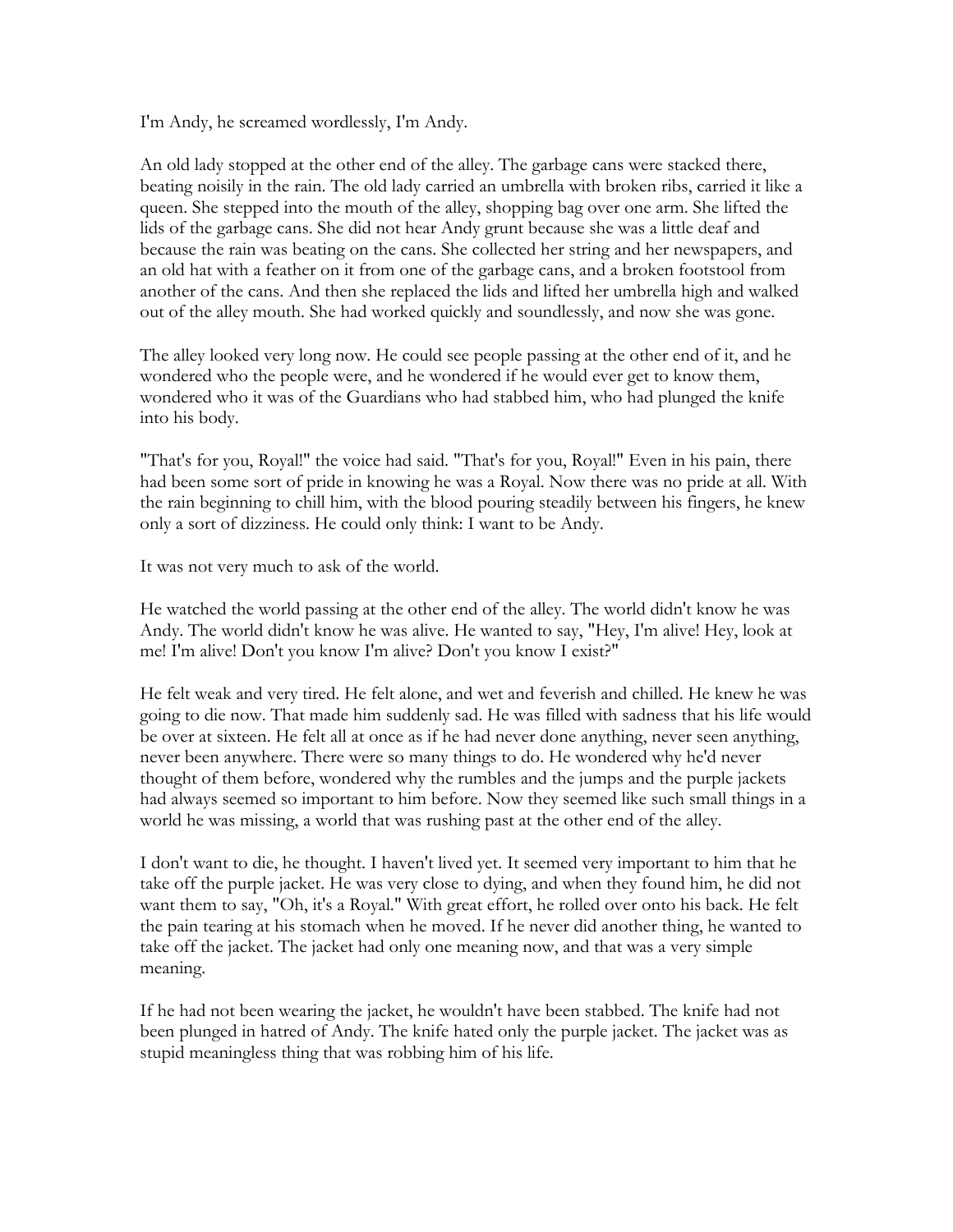I'm Andy, he screamed wordlessly, I'm Andy.

An old lady stopped at the other end of the alley. The garbage cans were stacked there, beating noisily in the rain. The old lady carried an umbrella with broken ribs, carried it like a queen. She stepped into the mouth of the alley, shopping bag over one arm. She lifted the lids of the garbage cans. She did not hear Andy grunt because she was a little deaf and because the rain was beating on the cans. She collected her string and her newspapers, and an old hat with a feather on it from one of the garbage cans, and a broken footstool from another of the cans. And then she replaced the lids and lifted her umbrella high and walked out of the alley mouth. She had worked quickly and soundlessly, and now she was gone.

The alley looked very long now. He could see people passing at the other end of it, and he wondered who the people were, and he wondered if he would ever get to know them, wondered who it was of the Guardians who had stabbed him, who had plunged the knife into his body.

"That's for you, Royal!" the voice had said. "That's for you, Royal!" Even in his pain, there had been some sort of pride in knowing he was a Royal. Now there was no pride at all. With the rain beginning to chill him, with the blood pouring steadily between his fingers, he knew only a sort of dizziness. He could only think: I want to be Andy.

It was not very much to ask of the world.

He watched the world passing at the other end of the alley. The world didn't know he was Andy. The world didn't know he was alive. He wanted to say, "Hey, I'm alive! Hey, look at me! I'm alive! Don't you know I'm alive? Don't you know I exist?"

He felt weak and very tired. He felt alone, and wet and feverish and chilled. He knew he was going to die now. That made him suddenly sad. He was filled with sadness that his life would be over at sixteen. He felt all at once as if he had never done anything, never seen anything, never been anywhere. There were so many things to do. He wondered why he'd never thought of them before, wondered why the rumbles and the jumps and the purple jackets had always seemed so important to him before. Now they seemed like such small things in a world he was missing, a world that was rushing past at the other end of the alley.

I don't want to die, he thought. I haven't lived yet. It seemed very important to him that he take off the purple jacket. He was very close to dying, and when they found him, he did not want them to say, "Oh, it's a Royal." With great effort, he rolled over onto his back. He felt the pain tearing at his stomach when he moved. If he never did another thing, he wanted to take off the jacket. The jacket had only one meaning now, and that was a very simple meaning.

If he had not been wearing the jacket, he wouldn't have been stabbed. The knife had not been plunged in hatred of Andy. The knife hated only the purple jacket. The jacket was as stupid meaningless thing that was robbing him of his life.